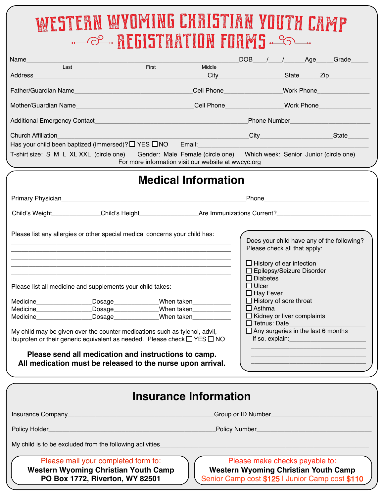## WESTERN WYOMING CHRISTIAN YOUTH CAMP **MEGISTRATION FORMS SOME**

|                                                                                                                                                                                                                                                                                                                                                                                                                                                                                                                                                                                                                                                                                                                                                                                                                                                                                                                                                                                                            |                                                     |        |  | DOB____/____/______Age_____Grade______ |  |
|------------------------------------------------------------------------------------------------------------------------------------------------------------------------------------------------------------------------------------------------------------------------------------------------------------------------------------------------------------------------------------------------------------------------------------------------------------------------------------------------------------------------------------------------------------------------------------------------------------------------------------------------------------------------------------------------------------------------------------------------------------------------------------------------------------------------------------------------------------------------------------------------------------------------------------------------------------------------------------------------------------|-----------------------------------------------------|--------|--|----------------------------------------|--|
| Last                                                                                                                                                                                                                                                                                                                                                                                                                                                                                                                                                                                                                                                                                                                                                                                                                                                                                                                                                                                                       | First                                               | Middle |  |                                        |  |
|                                                                                                                                                                                                                                                                                                                                                                                                                                                                                                                                                                                                                                                                                                                                                                                                                                                                                                                                                                                                            |                                                     |        |  |                                        |  |
|                                                                                                                                                                                                                                                                                                                                                                                                                                                                                                                                                                                                                                                                                                                                                                                                                                                                                                                                                                                                            |                                                     |        |  |                                        |  |
| Mother/Guardian Name___________________________________Cell Phone_______________Work Phone________________                                                                                                                                                                                                                                                                                                                                                                                                                                                                                                                                                                                                                                                                                                                                                                                                                                                                                                 |                                                     |        |  |                                        |  |
|                                                                                                                                                                                                                                                                                                                                                                                                                                                                                                                                                                                                                                                                                                                                                                                                                                                                                                                                                                                                            |                                                     |        |  |                                        |  |
| <b>Church Affiliation</b>                                                                                                                                                                                                                                                                                                                                                                                                                                                                                                                                                                                                                                                                                                                                                                                                                                                                                                                                                                                  |                                                     |        |  |                                        |  |
|                                                                                                                                                                                                                                                                                                                                                                                                                                                                                                                                                                                                                                                                                                                                                                                                                                                                                                                                                                                                            |                                                     |        |  |                                        |  |
| T-shirt size: S M L XL XXL (circle one) Gender: Male Female (circle one) Which week: Senior Junior (circle one)                                                                                                                                                                                                                                                                                                                                                                                                                                                                                                                                                                                                                                                                                                                                                                                                                                                                                            | For more information visit our website at wwcyc.org |        |  |                                        |  |
| <b>Medical Information</b>                                                                                                                                                                                                                                                                                                                                                                                                                                                                                                                                                                                                                                                                                                                                                                                                                                                                                                                                                                                 |                                                     |        |  |                                        |  |
|                                                                                                                                                                                                                                                                                                                                                                                                                                                                                                                                                                                                                                                                                                                                                                                                                                                                                                                                                                                                            |                                                     |        |  |                                        |  |
|                                                                                                                                                                                                                                                                                                                                                                                                                                                                                                                                                                                                                                                                                                                                                                                                                                                                                                                                                                                                            |                                                     |        |  |                                        |  |
|                                                                                                                                                                                                                                                                                                                                                                                                                                                                                                                                                                                                                                                                                                                                                                                                                                                                                                                                                                                                            |                                                     |        |  |                                        |  |
| Please list any allergies or other special medical concerns your child has:<br>Does your child have any of the following?<br>Please check all that apply:<br>$\Box$ History of ear infection<br>$\Box$ Epilepsy/Seizure Disorder<br>$\Box$ Diabetes<br>$\Box$ Ulcer<br>Please list all medicine and supplements your child takes:<br>$\Box$ Hay Fever<br>$\Box$ History of sore throat<br>Medicine____________________Dosage______________When taken_____________<br>$\Box$ Asthma<br>_Dosage______________When taken____________<br>$\Box$ Kidney or liver complaints<br>Medicine____________________Dosage_______________When taken______________<br>Tetnus: Date<br>$\Box$ Any surgeries in the last 6 months<br>My child may be given over the counter medications such as tylenol, advil,<br>ibuprofen or their generic equivalent as needed. Please check $\Box$ YES $\Box$ NO<br>Please send all medication and instructions to camp.<br>All medication must be released to the nurse upon arrival. |                                                     |        |  |                                        |  |
| <b>Insurance Information</b>                                                                                                                                                                                                                                                                                                                                                                                                                                                                                                                                                                                                                                                                                                                                                                                                                                                                                                                                                                               |                                                     |        |  |                                        |  |
|                                                                                                                                                                                                                                                                                                                                                                                                                                                                                                                                                                                                                                                                                                                                                                                                                                                                                                                                                                                                            |                                                     |        |  |                                        |  |
| <u> 1980 - Johann Barn, mars eta bainar eta bainar eta baina eta baina eta baina eta baina eta baina eta baina e</u><br>Policy Holder_                                                                                                                                                                                                                                                                                                                                                                                                                                                                                                                                                                                                                                                                                                                                                                                                                                                                     |                                                     |        |  |                                        |  |
| My child is to be excluded from the following activities_                                                                                                                                                                                                                                                                                                                                                                                                                                                                                                                                                                                                                                                                                                                                                                                                                                                                                                                                                  |                                                     |        |  |                                        |  |
| Please mail your completed form to:<br>Please make checks payable to:<br><b>Western Wyoming Christian Youth Camp</b><br><b>Western Wyoming Christian Youth Camp</b><br>PO Box 1772, Riverton, WY 82501<br>Senior Camp cost \$125   Junior Camp cost \$110                                                                                                                                                                                                                                                                                                                                                                                                                                                                                                                                                                                                                                                                                                                                                  |                                                     |        |  |                                        |  |